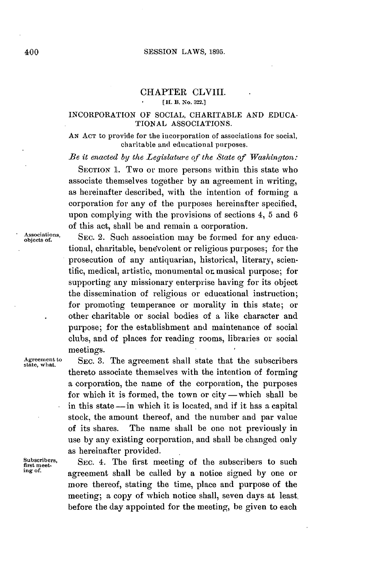# CHAPTER CLVIII.

# **[IH. B. No. 322.]**

#### INCORPORATION OF **SOCIAL,** CHARITABLE **AND EDUCA-TIONAL ASSOCIATIONS.**

**AN ACT** to provide for the incorporation of associations for social, charitable and educational purposes.

*Be it enacted by the Legislature of the State of Washington:*

SECTION **1.** Two or more persons within this state who associate themselves together **by** an agreement in writing, as hereinafter described, with the intention of forming a corporation for any of the purposes hereinafter specified, upon complying with the provisions of sections 4, **5** and **6** of this act, shall be and remain a corporation.

Associations, SEC. 2. Such association may be formed for any educational, charitable, benevolent or religious purposes; for the prosecution of any antiquarian, historical, literary, scientific, medical, artistic, monumental or musical purpose; for supporting any missionary enterprise having for its object the dissemination of religious or educational instruction; for promoting temperance or morality in this state; or other charitable or social bodies of a like character and purpose; for the establishment and maintenance of social clubs, and of places for reading rooms, libraries or social meetings.

Agreement to SEC. 3. The agreement shall state that the subscribers state, what. thereto associate themselves with the intention of forming a corporation, the name of the corporation, the purposes for which it is formed, the town or  $city$ -which shall be in this state **-in** which it is located, and if it has a capital stock, the amount thereof, and the number and par value of its shares. The name shall be one not previously in use **by** any existing corporation, and shall be changed only as hereinafter provided.

Subscribers, SEC. 4. The first meeting of the subscribers to such first method. **ing of** agreement shall be called **by** a notice signed **by** one or more thereof, stating the time, place and purpose of the meeting; a copy of which notice shall, seven days at least. before the day appointed for the meeting, be given to each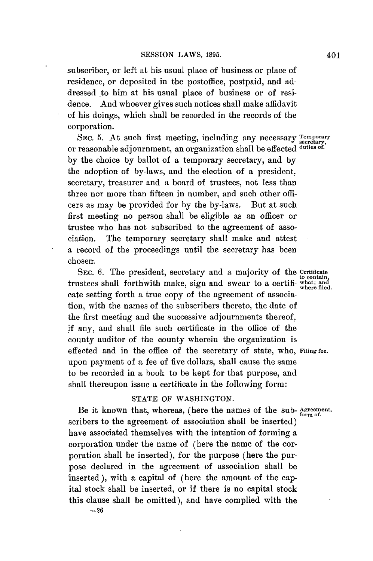subscriber, or left at his usual place of business or place of residence, or deposited in the postoffice, postpaid, and addressed to him at his usual place of business or of residence. And whoever gives such notices shall make affidavit of his doings, which shall be recorded in the records of the corporation.

SEC. 5. At such first meeting, including any necessary Temporary or reasonable adjournment, an organization shall be effected **duties of. by** the choice **by** ballot of a temporary secretary, and **by** the adoption of by-laws, and the election of a president, secretary, treasurer and a board of trustees, not less than three nor more than fifteen in number, and such other officers as may be provided for **by** the by-laws. But at such first meeting no person shall be eligible as an officer or trustee who has not subscribed to the agreement of association. The temporary secretary shall make and attest a record of the proceedings until the secretary has been chosen.

SEC. **6.** The president, secretary and a majority of the **certificate** trustees shall forthwith make, sign and swear to a certifi- what flat and swear to a certifical and swear flat cate setting forth a true copy of the agreement of association, with the names of the subscribers thereto, the date of the first meeting and the successive adjournments thereof, **if** any, and shall file such certificate in the office of the county auditor of the county wherein the organization is effected and in the office of the secretary of state, who, **Filing fee.** upon payment of a fee of five dollars, shall cause the same to be recorded in a book to be kept for that purpose, and shall thereupon issue a certificate in the following form:

# **STATE** OF **WASHINGTON.**

Be it known that, whereas, (here the names of the sub- **Agreement,** form of. scribers to the agreement of association shall be inserted) have associated themselves with the intention of forming a corporation under the name of (here the name of the corporation shall **be** inserted), for the purpose (here the purpose declared in the agreement of association shall be inserted), with **a** capital of (here the amount of the capital stock shall be inserted, or if there is no capital stock this clause shall be omitted), and have complied with the

**-26**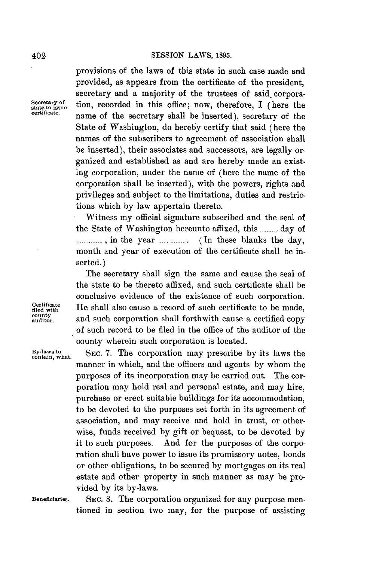provisions of the laws of this state in such case made and provided, as appears from the certificate of the president, secretary and a majority of the trustees of said corpora-Secretary of tion, recorded in this office; now, therefore, I (here the **certificate. certificate**. **name of the secretary shall be inserted**), secretary of the State of Washington, do hereby certify that said (here the names of the subscribers to agreement of association shall be inserted), their associates and successors, are legally organized and established as and are hereby made an existing corporation, under the name of (here the name of the corporation shall be inserted), with the powers, rights and privileges and subject to the limitations, duties and restrictions which **by** law appertain thereto.

> Witness my official signature subscribed and the seal of the State of Washington hereunto affixed, this **..........** day of **............... ,** in the year **................** (In these blanks the day, month and year of execution of the certificate shall be inserted.)

The secretary shall sign the same and cause the seal of the state to be thereto affixed, and such certificate shall be conclusive evidence of the existence of such corporation.  $\begin{array}{ll}\n \text{Certificate} \\
 \text{field with} \\
 \text{outly} \\
 \text{and such sometimes shell further, the same time\n} \\
 \end{array}$ **audior.** and such corporation shall forthwith cause a certified copy of such record to be filed in the office of the auditor of the county wherein such corporation is located.

By-laws to SEC. 7. The corporation may prescribe by its laws the manner in which, and the officers and agents **by** whom the purposes of its incorporation may be carried out. The corporation may hold real and personal estate, and may hire, purchase or erect suitable buildings for its accommodation, to be devoted to the purposes set forth in its agreement of association, and may receive and hold in trust, or otherwise, funds received **by** gift or bequest, to be devoted **by** it to such purposes. And for the purposes of the corporation shall have power to issue its promissory notes, bonds or other obligations, to be secured **by** mortgages on its real estate and other property in such manner as may be provided **by** its by-laws.

**Beneficiaries.** SEc. **8.** The corporation organized for any purpose mentioned in section two may, for the purpose of assisting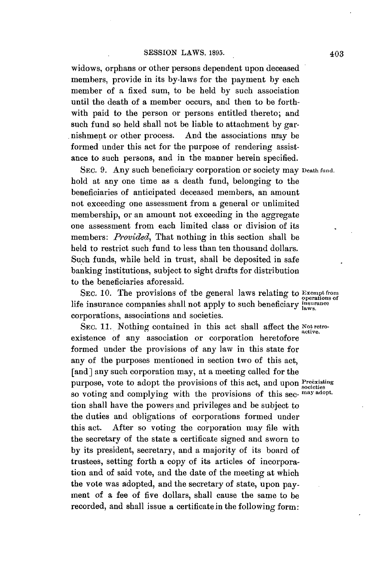widows, orphans or other persons dependent upon deceased members, provide in its by-laws for the payment **by** each member of a fixed sum, to be held **by** such association until the death of a member occurs, and then to be forthwith paid to the person or persons entitled thereto; and such fund so held shall not be liable to attachment **by** garnishment or other process. And the associations may be formed under this act for the purpose of rendering assistance to such persons, and in the manner herein specified.

**SEC. 9.** Any such beneficiary corporation or society may **Death fund.** hold at any one time as a death fund, belonging to the beneficiaries of anticipated deceased members, an amount not exceeding one assessment from a general or unlimited membership, or an amount not exceeding in the aggregate one assessment from each limited class or division of its members: *Provided,* That nothing in this section shall be held to restrict such fund to less than ten thousand dollars. Such funds, while held in trust, shall be deposited in safe banking institutions, subject to sight drafts for distribution to the beneficiaries aforesaid.

SEC. 10. The provisions of the general laws relating to **Exempt from**<br>life insurance companies shall not apply to such beneficiary *insurance* corporations, associations and societies.

SEC. 11. Nothing contained in this act shall affect the Not retroexistence of any association or corporation heretofore formed under the provisions of any law in this state for any of the purposes mentioned in section two of this act, [and] any such corporation may, at a meeting called for the purpose, vote to adopt the provisions of this act, and upon Preexisting so voting and complying with the provisions of this see- **may adopt.** tion shall have the powers and privileges and be subject to the duties and obligations of corporations formed under this act. After so voting the corporation may file with the secretary of the state a certificate signed and sworn to **by** its president, secretary, and a majority of its board of trustees, setting forth a copy of its articles of incorporation and of said vote, and the date of the meeting at which the vote was adopted, and the secretary of state, upon payment of a fee of five dollars, shall cause the same to be recorded, and shall issue a certificate in the following form: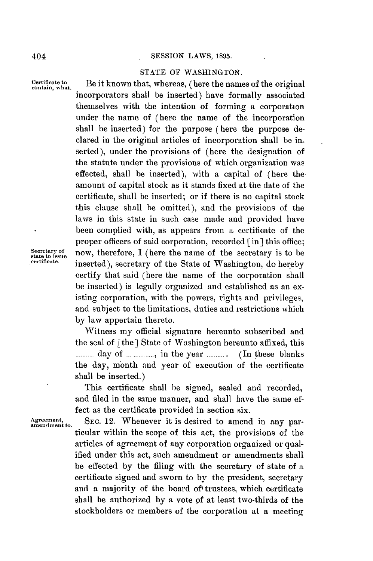#### **SESSION** LAWS, **1895.**

#### **STATE** OF **WASHINGTON.**

Certificate to **Be it known that, whereas, (here the names of the original contain, what.** incorporators shall be inserted) have formally associated themselves with the intention of forming a corporation under the name of (here the name of the incorporation shall be inserted) for the purpose (here the purpose declared in the original articles of incorporation shall be inserted), under the provisions of (here the designation of the statute under the provisions of which organization was effected, shall be inserted), with a capital of (here theamount of capital stock as it stands fixed at the date of the certificate, shall be inserted; or if there is no capital stock this clause shall be omitted), and the provisions of the laws in this state in such case made and provided have been complied with, as appears from a certificate of the proper officers of said corporation, recorded **[in]** this office;  $S_{\text{set}}$ <br>
state to issue<br>  $S_{\text{set}}$  **now, therefore, I** (here the name of the secretary is to be<br>  $S_{\text{set}}$  and  $S_{\text{set}}$  and  $S_{\text{set}}$  and  $S_{\text{set}}$  and  $S_{\text{set}}$  and  $S_{\text{set}}$  and  $S_{\text{set}}$  and  $S_{\text{set}}$  and  $S_{\text{set}}$  inserted), secretary of the State of Washington, do hereby certify that said (here the name of the corporation shall be inserted) is legally organized and established as an existing corporation, with the powers, rights and privileges, and subject to the limitations, duties and restrictions which **by** law appertain thereto.

Witness my official signature hereunto subscribed and the seal of  $\lceil$  the  $\rceil$  State of Washington hereunto affixed, this **........** day of **...... ,** in the year **.......** (In these blanks the day, month and year of execution of the certificate shall be inserted.)

This certificate shall be signed, sealed and recorded, and filed in the same manner, and shall have the same **ef**fect as the certificate provided in section six.

Agreement, SEC. 12. Whenever it is desired to amend in any particular within the scope of this act, the provisions of the articles of agreement of any corporation organized or qualified under this act, such amendment or amendments shall be effected **by** the filing with the secretary of state of a certificate signed and sworn to **by** the president, secretary and a majority of the board of' trustees, which certificate shall be authorized **by** a vote of at least two-thirds of the stockholders or members of the corporation at a meeting

404